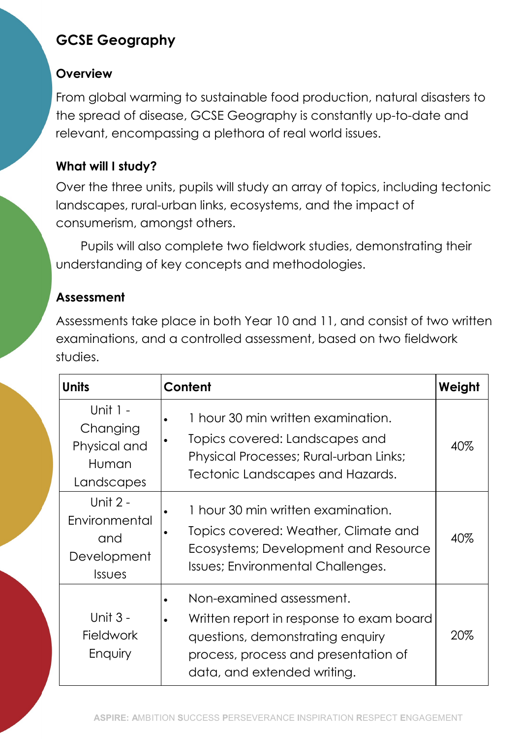# GCSE Geography

### **Overview**

From global warming to sustainable food production, natural disasters to the spread of disease, GCSE Geography is constantly up-to-date and relevant, encompassing a plethora of real world issues.

# What will I study?

Over the three units, pupils will study an array of topics, including tectonic landscapes, rural-urban links, ecosystems, and the impact of consumerism, amongst others.

Pupils will also complete two fieldwork studies, demonstrating their understanding of key concepts and methodologies.

## Assessment

Assessments take place in both Year 10 and 11, and consist of two written examinations, and a controlled assessment, based on two fieldwork studies.

| Units                                                       | Content                                                                                                                                                                         | Weight |
|-------------------------------------------------------------|---------------------------------------------------------------------------------------------------------------------------------------------------------------------------------|--------|
| Unit 1 -<br>Changing<br>Physical and<br>Human<br>Landscapes | 1 hour 30 min written examination.<br>Topics covered: Landscapes and<br>Physical Processes; Rural-urban Links;<br>Tectonic Landscapes and Hazards.                              | 40%    |
| Unit 2 -<br>Environmental<br>and<br>Development<br>Issues   | 1 hour 30 min written examination.<br>Topics covered: Weather, Climate and<br>Ecosystems; Development and Resource<br>Issues; Environmental Challenges.                         | 40%    |
| Unit 3 -<br><b>Fieldwork</b><br>Enquiry                     | Non-examined assessment.<br>Written report in response to exam board<br>questions, demonstrating enquiry<br>process, process and presentation of<br>data, and extended writing. | 20%    |